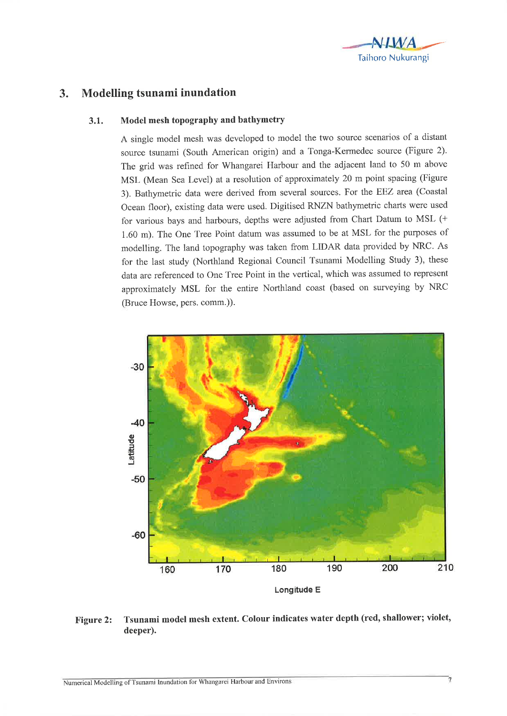

#### -J. Modelling tsunami inundation

## 3.1. Model mesh topography and bathymetry

A single model mesh was developed to model the two source scenarios of a distant source tsunami (South American origin) and a Tonga-Kermedec source (Figure 2). The grid was refined for Whangarei Harbour and the adjacent land to 50 m above MSL (Mean Sea Level) at a resolution of approximately 20 m point spacing (Figure 3). Bathymetric data were derived from several sources. For the EEZ atea (Coastal Ocean floor), existing data were used. Digitised RNZN bathymetric charts were used for various bays and harbours, depths were adjusted from Chart Datum to MSL (+ 1.60 m). The One Tree Point datum was assumed to be at MSL for the purposes of modelling. The land topography was taken from LIDAR data provided by NRC. As for the last study (Northland Regional Council Tsunami Modelling Study 3), these data are referenced to One Tree Point in the vertical, which was assumed to represent approximately MSL for the entire Northland coast (based on surveying by NRC (Bruce Howse, pers. comm.)).



# Figure 2: Tsunami model mesh extent. Colour indicates water depth (red, shallower; violet, deeper).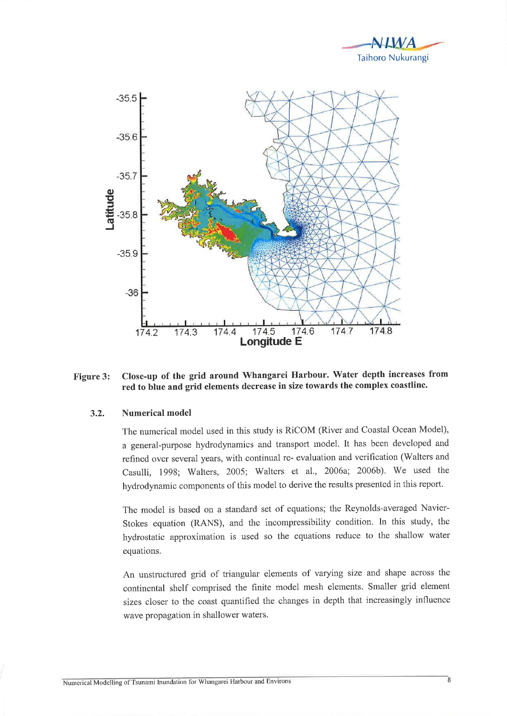



### Close-up of the grid around Whangarei Harbour. Water depth increases from Figure 3: red to blue and grid elements decrease in size towards the complex coastline.

#### **Numerical model**  $3.2.$

The numerical model used in this study is RiCOM (River and Coastal Ocean Model), a general-purpose hydrodynamics and transport model. It has been developed and refined over several years, with continual re- evaluation and verification (Walters and Casulli, 1998; Walters, 2005; Walters et al., 2006a; 2006b). We used the hydrodynamic components of this model to derive the results presented in this report.

The model is based on a standard set of equations; the Reynolds-averaged Navier-Stokes equation (RANS), and the incompressibility condition. In this study, the hydrostatic approximation is used so the equations reduce to the shallow water equations.

An unstructured grid of triangular elements of varying size and shape across the continental shelf comprised the finite model mesh elements. Smaller grid element sizes closer to the coast quantified the changes in depth that increasingly influence wave propagation in shallower waters.